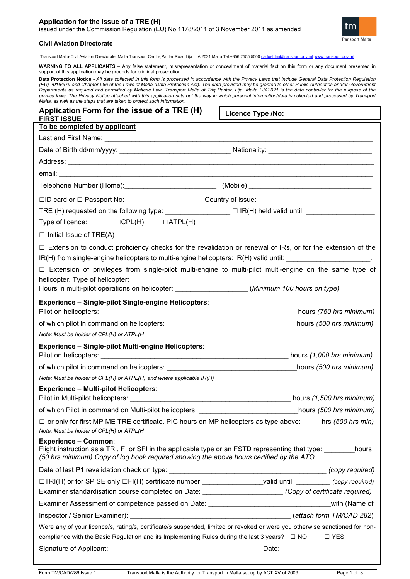## **Application for the issue of a TRE (H)**

issued under the Commission Regulation (EU) No 1178/2011 of 3 November 2011 as amended



## **Civil Aviation Directorate**

Transport Malta-Civil Aviation Directorate, Malta Transport Centre,Pantar Road,Lija LJA 2021 Malta.Tel:+356 2555 5000 [cadpel.tm@transport.gov.mt](mailto:cadpel.tm@transport.gov.mt) [www.transport.gov.mt](http://www.transport.gov.mt/)

**WARNING TO ALL APPLICANTS** – Any false statement, misrepresentation or concealment of material fact on this form or any document presented in support of this application may be grounds for criminal prosecution. **Data Protection Notice -** *All data collected in this form is processed in accordance with the Privacy Laws that include General Data Protection Regulation (EU) 2016/679 and Chapter 586 of the Laws of Malta (Data Protection Act). The data provided may be granted to other Public Authorities and/or Government Departments as required and permitted by Maltese Law. Transport Malta of Triq Pantar, Lija, Malta LJA2021 is the data controller for the purpose of the privacy laws. The Privacy Notice attached with this application sets out the way in which personal information/data is collected and processed by Transport Malta, as well as the steps that are taken to protect such information.* **Application Form for the issue of a TRE (H) FIRST ISSUE To be completed by applicant** Last and First Name: \_\_\_\_\_\_\_\_\_\_\_\_\_\_\_\_\_\_\_\_\_\_\_\_\_\_\_\_\_\_\_\_\_\_\_\_\_\_\_\_\_\_\_\_\_\_\_\_\_\_\_\_\_\_\_\_\_\_\_\_\_\_\_\_\_\_\_\_\_\_ Date of Birth dd/mm/yyyy: \_\_\_\_\_\_\_\_\_\_\_\_\_\_\_\_\_\_\_\_\_\_\_\_\_\_\_\_\_ Nationality: \_\_\_\_\_\_\_\_\_\_\_\_\_\_\_\_\_\_\_\_\_\_\_\_\_\_\_ **Licence Type /No:** 

Address: \_\_\_\_\_\_\_\_\_\_\_\_\_\_\_\_\_\_\_\_\_\_\_\_\_\_\_\_\_\_\_\_\_\_\_\_\_\_\_\_\_\_\_\_\_\_\_\_\_\_\_\_\_\_\_\_\_\_\_\_\_\_\_\_\_\_\_\_\_\_\_\_\_\_\_\_\_\_\_\_

email: \_\_\_\_\_\_\_\_\_\_\_\_\_\_\_\_\_\_\_\_\_\_\_\_\_\_\_\_\_\_\_\_\_\_\_\_\_\_\_\_\_\_\_\_\_\_\_\_\_\_\_\_\_\_\_\_\_\_\_\_\_\_\_\_\_\_\_\_\_\_\_\_\_\_\_\_\_\_\_\_\_\_

Telephone Number (Home):\_\_\_\_\_\_\_\_\_\_\_\_\_\_\_\_\_\_\_\_\_\_\_\_ (Mobile) \_\_\_\_\_\_\_\_\_\_\_\_\_\_\_\_\_\_\_\_\_\_\_\_\_\_\_\_\_\_\_\_

| $\square$ ID card or $\square$ Passport No: | Country of issue: |  |
|---------------------------------------------|-------------------|--|
|                                             |                   |  |

| TRE (H) requested on the following type: $\overline{\phantom{a}}$<br>$\Box$ IR(H) held valid until: |  |
|-----------------------------------------------------------------------------------------------------|--|
|-----------------------------------------------------------------------------------------------------|--|

| Type of licence: | $\Box$ CPL(H) | $\Box$ ATPL(H) |
|------------------|---------------|----------------|
|                  |               |                |

 $\square$  Initial Issue of TRE(A)

| □ Extension to conduct proficiency checks for the revalidation or renewal of IRs, or for the extension of the |  |
|---------------------------------------------------------------------------------------------------------------|--|
| IR(H) from single-engine helicopters to multi-engine helicopters: IR(H) valid until:                          |  |

|                                 |  |  |  | $\Box$ Extension of privileges from single-pilot multi-engine to multi-pilot multi-engine on the same type of |  |  |  |
|---------------------------------|--|--|--|---------------------------------------------------------------------------------------------------------------|--|--|--|
| helicopter. Type of helicopter: |  |  |  |                                                                                                               |  |  |  |

Hours in multi-pilot operations on helicopter: \_\_\_\_\_\_\_\_\_\_\_\_\_\_\_\_\_\_\_ (*Minimum 100 hours on type)*

## **Experience – Single-pilot Single-engine Helicopters**:

| Pilot on helicopters:                                      | hours (1,000 hrs minimum) |
|------------------------------------------------------------|---------------------------|
| <b>Experience – Single-pilot Multi-engine Helicopters:</b> |                           |
| Note: Must be holder of CPL(H) or ATPL(H)                  |                           |
| of which pilot in command on helicopters:                  | hours (500 hrs minimum)   |
| Pilot on helicopters:                                      | hours (750 hrs minimum)   |

# of which pilot in command on helicopters: \_\_\_\_\_\_\_\_\_\_\_\_\_\_\_\_\_\_\_\_\_\_\_\_\_\_\_\_\_\_\_\_\_\_hours *(500 hrs minimum)*

*Note: Must be holder of CPL(H) or ATPL(H) and where applicable IR(H)*

## **Experience – Multi-pilot Helicopters**:

| Pilot in Multi-pilot helicopters:                     | hours (1,500 hrs minimum) |
|-------------------------------------------------------|---------------------------|
| of which Pilot in command on Multi-pilot helicopters: | hours (500 hrs minimum)   |

**□** or only for first MP ME TRE certificate. PIC hours on MP helicopters as type above: \_\_\_\_\_hrs *(500 hrs min) Note: Must be holder of CPL(H) or ATPL(H*

## **Experience – Common**:

| Flight instruction as a TRI, FI or SFI in the applicable type or an FSTD representing that type: | hours           |
|--------------------------------------------------------------------------------------------------|-----------------|
| (50 hrs minimum) Copy of log book required showing the above hours certified by the ATO.         |                 |
| Date of last P1 revalidation check on type:                                                      | (copy required) |

# □TRI(H) or for SP SE only □FI(H) certificate number \_\_\_\_\_\_\_\_\_\_\_\_\_\_\_\_valid until: \_\_\_\_\_\_\_\_\_ *(copy required)* Examiner standardisation course completed on Date: *\_\_\_\_\_\_\_\_\_\_\_\_\_\_\_\_\_\_\_\_\_\_\_ (Copy of certificate required)* Examiner Assessment of competence passed on Date: \_\_\_\_\_\_\_\_\_\_\_\_\_\_\_\_\_\_\_\_\_\_\_\_\_\_\_\_\_\_\_\_\_\_\_with (Name of

| Inspector / Senior Examiner):                                                                                               |  | (attach form TM/CAD 282) |
|-----------------------------------------------------------------------------------------------------------------------------|--|--------------------------|
| Were any of your licence/s, rating/s, certificate/s suspended, limited or revoked or were you otherwise sanctioned for non- |  |                          |

| compliance with the Basic Regulation and its Implementing Rules during the last 3 years? $\quad \Box$ NO $\quad$ | $\Box$ YES |
|------------------------------------------------------------------------------------------------------------------|------------|
|                                                                                                                  |            |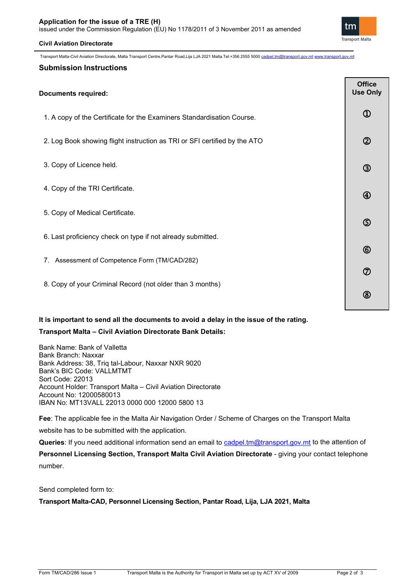## **Application for the issue of a TRE (H)**

issued under the Commission Regulation (EU) No 1178/2011 of 3 November 2011 as amended

## **Civil Aviation Directorate**

**Transport Malta** 

tm

Transport Malta-Civil Aviation Directorate, Malta Transport Centre,Pantar Road,Lija LJA 2021 Malta.Tel:+356 2555 5000 [cadpel.tm@transport.gov.mt](mailto:cadpel.tm@transport.gov.mt) [www.transport.gov.mt](http://www.transport.gov.mt/)

## **Submission Instructions**

| <b>Documents required:</b>                                                |                             |  |  |
|---------------------------------------------------------------------------|-----------------------------|--|--|
| 1. A copy of the Certificate for the Examiners Standardisation Course.    | $^{\textcircled{\tiny{1}}}$ |  |  |
| 2. Log Book showing flight instruction as TRI or SFI certified by the ATO | $\circledB$                 |  |  |
| 3. Copy of Licence held.                                                  | $\circled{3}$               |  |  |
| 4. Copy of the TRI Certificate.                                           | $\bigcirc$                  |  |  |
| 5. Copy of Medical Certificate.                                           | $\circledS$                 |  |  |
| 6. Last proficiency check on type if not already submitted.               |                             |  |  |
| 7. Assessment of Competence Form (TM/CAD/282)                             | $^{\circledR}$              |  |  |
|                                                                           | $\circledcirc$              |  |  |
| 8. Copy of your Criminal Record (not older than 3 months)                 | (8)                         |  |  |

# **It is important to send all the documents to avoid a delay in the issue of the rating.**

## **Transport Malta – Civil Aviation Directorate Bank Details:**

Bank Name: Bank of Valletta Bank Branch: Naxxar Bank Address: 38, Triq tal-Labour, Naxxar NXR 9020 Bank's BIC Code: VALLMTMT Sort Code: 22013 Account Holder: Transport Malta – Civil Aviation Directorate Account No: 12000580013 IBAN No: MT13VALL 22013 0000 000 12000 5800 13

**Fee**: The applicable fee in the Malta Air Navigation Order / Scheme of Charges on the Transport Malta website has to be submitted with the application.

Queries: If you need additional information send an email to [cadpel.tm@transport.gov.mt](mailto:cadpel.tm@transport.gov.mt) to the attention of

**Personnel Licensing Section, Transport Malta Civil Aviation Directorate** - giving your contact telephone number.

Send completed form to:

**Transport Malta-CAD, Personnel Licensing Section, Pantar Road, Lija, LJA 2021, Malta**